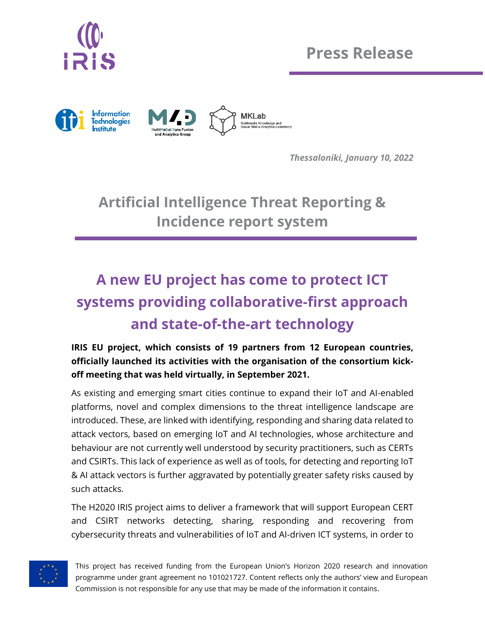

**Press Release**



*Thessaloniki, January 10, 2022*

**Artificial Intelligence Threat Reporting & Incidence report system**

## **A new EU project has come to protect ICT systems providing collaborative-first approach and state-of-the-art technology**

**IRIS EU project, which consists of 19 partners from 12 European countries, officially launched its activities with the organisation of the consortium kickoff meeting that was held virtually, in September 2021.**

As existing and emerging smart cities continue to expand their IoT and AI-enabled platforms, novel and complex dimensions to the threat intelligence landscape are introduced. These, are linked with identifying, responding and sharing data related to attack vectors, based on emerging IoT and AI technologies, whose architecture and behaviour are not currently well understood by security practitioners, such as CERTs and CSIRTs. This lack of experience as well as of tools, for detecting and reporting IoT & AI attack vectors is further aggravated by potentially greater safety risks caused by such attacks.

The H2020 IRIS project aims to deliver a framework that will support European CERT and CSIRT networks detecting, sharing, responding and recovering from cybersecurity threats and vulnerabilities of IoT and AI-driven ICT systems, in order to



This project has received funding from the European Union's Horizon 2020 research and innovation programme under grant agreement no 101021727. Content reflects only the authors' view and European Commission is not responsible for any use that may be made of the information it contains.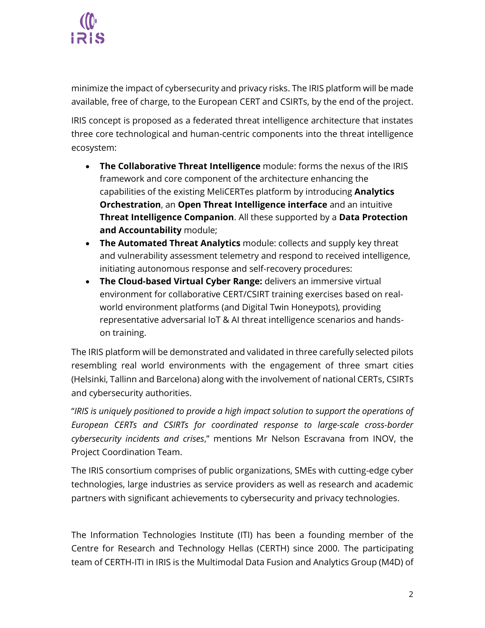

minimize the impact of cybersecurity and privacy risks. The IRIS platform will be made available, free of charge, to the European CERT and CSIRTs, by the end of the project.

IRIS concept is proposed as a federated threat intelligence architecture that instates three core technological and human-centric components into the threat intelligence ecosystem:

- **The Collaborative Threat Intelligence** module: forms the nexus of the IRIS framework and core component of the architecture enhancing the capabilities of the existing MeliCERTes platform by introducing **Analytics Orchestration**, an **Open Threat Intelligence interface** and an intuitive **Threat Intelligence Companion**. All these supported by a **Data Protection and Accountability** module;
- **The Automated Threat Analytics** module: collects and supply key threat and vulnerability assessment telemetry and respond to received intelligence, initiating autonomous response and self-recovery procedures:
- **The Cloud-based Virtual Cyber Range:** delivers an immersive virtual environment for collaborative CERT/CSIRT training exercises based on realworld environment platforms (and Digital Twin Honeypots), providing representative adversarial IoT & AI threat intelligence scenarios and handson training.

The IRIS platform will be demonstrated and validated in three carefully selected pilots resembling real world environments with the engagement of three smart cities (Helsinki, Tallinn and Barcelona) along with the involvement of national CERTs, CSIRTs and cybersecurity authorities.

"*IRIS is uniquely positioned to provide a high impact solution to support the operations of European CERTs and CSIRTs for coordinated response to large-scale cross-border cybersecurity incidents and crises*," mentions Mr Nelson Escravana from INOV, the Project Coordination Team.

The IRIS consortium comprises of public organizations, SMEs with cutting-edge cyber technologies, large industries as service providers as well as research and academic partners with significant achievements to cybersecurity and privacy technologies.

The Information Technologies Institute (ITI) has been a founding member of the Centre for Research and Technology Hellas (CERTH) since 2000. The participating team of CERTH-ITI in IRIS is the Multimodal Data Fusion and Analytics Group (M4D) of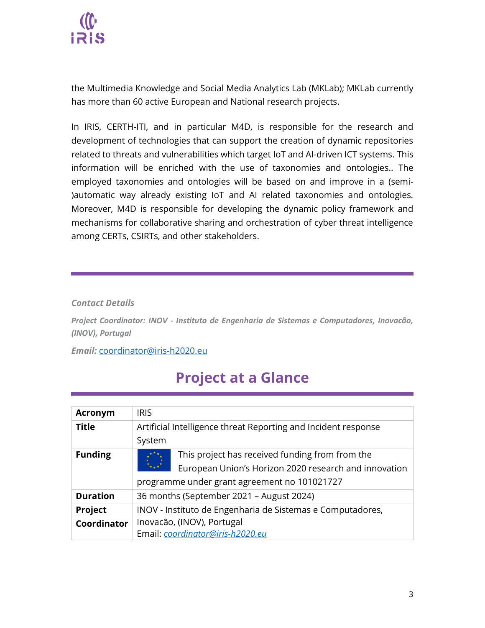

the Multimedia Knowledge and Social Media Analytics Lab (MKLab); MKLab currently has more than 60 active European and National research projects.

In IRIS, CERTH-ITI, and in particular M4D, is responsible for the research and development of technologies that can support the creation of dynamic repositories related to threats and vulnerabilities which target IoT and AI-driven ICT systems. This information will be enriched with the use of taxonomies and ontologies.. The employed taxonomies and ontologies will be based on and improve in a (semi- )automatic way already existing IoT and AI related taxonomies and ontologies. Moreover, M4D is responsible for developing the dynamic policy framework and mechanisms for collaborative sharing and orchestration of cyber threat intelligence among CERTs, CSIRTs, and other stakeholders.

## *Contact Details*

*Project Coordinator: INOV - Instituto de Engenharia de Sistemas e Computadores, Inovacão, (INOV), Portugal* 

*Email:* [coordinator@iris-h2020.eu](mailto:coordinator@iris-h2020.eu)

## **Project at a Glance**

| <b>Acronym</b>  | <b>IRIS</b>                                                    |                                                       |
|-----------------|----------------------------------------------------------------|-------------------------------------------------------|
| <b>Title</b>    | Artificial Intelligence threat Reporting and Incident response |                                                       |
|                 | System                                                         |                                                       |
| <b>Funding</b>  |                                                                | This project has received funding from from the       |
|                 |                                                                | European Union's Horizon 2020 research and innovation |
|                 |                                                                | programme under grant agreement no 101021727          |
| <b>Duration</b> | 36 months (September 2021 - August 2024)                       |                                                       |
| <b>Project</b>  | INOV - Instituto de Engenharia de Sistemas e Computadores,     |                                                       |
| Coordinator     | Inovacão, (INOV), Portugal                                     |                                                       |
|                 | Email: coordinator@iris-h2020.eu                               |                                                       |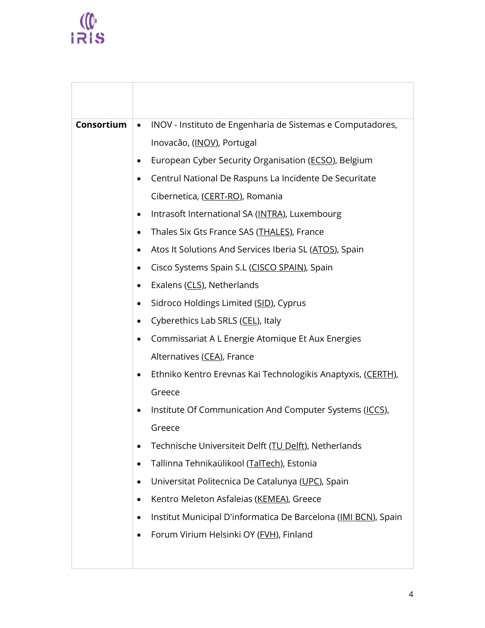## $\frac{1}{1}$

| <b>Consortium</b> | INOV - Instituto de Engenharia de Sistemas e Computadores,<br>$\bullet$     |
|-------------------|-----------------------------------------------------------------------------|
|                   | Inovacão, (INOV), Portugal                                                  |
|                   | European Cyber Security Organisation (ECSO), Belgium<br>٠                   |
|                   | Centrul National De Raspuns La Incidente De Securitate<br>٠                 |
|                   | Cibernetica, (CERT-RO), Romania                                             |
|                   | Intrasoft International SA (INTRA), Luxembourg<br>$\bullet$                 |
|                   | Thales Six Gts France SAS (THALES), France<br>$\bullet$                     |
|                   | Atos It Solutions And Services Iberia SL (ATOS), Spain<br>٠                 |
|                   | Cisco Systems Spain S.L (CISCO SPAIN), Spain<br>٠                           |
|                   | Exalens (CLS), Netherlands<br>$\bullet$                                     |
|                   | Sidroco Holdings Limited (SID), Cyprus<br>٠                                 |
|                   | Cyberethics Lab SRLS (CEL), Italy<br>$\bullet$                              |
|                   | Commissariat A L Energie Atomique Et Aux Energies<br>$\bullet$              |
|                   | Alternatives (CEA), France                                                  |
|                   | Ethniko Kentro Erevnas Kai Technologikis Anaptyxis, (CERTH),<br>$\bullet$   |
|                   | Greece                                                                      |
|                   | Institute Of Communication And Computer Systems (ICCS),<br>٠                |
|                   | Greece                                                                      |
|                   | Technische Universiteit Delft (TU Delft), Netherlands                       |
|                   | Tallinna Tehnikaülikool (TalTech), Estonia<br>٠                             |
|                   | Universitat Politecnica De Catalunya (UPC), Spain<br>٠                      |
|                   | Kentro Meleton Asfaleias (KEMEA), Greece<br>٠                               |
|                   | Institut Municipal D'informatica De Barcelona (IMI BCN), Spain<br>$\bullet$ |
|                   | Forum Virium Helsinki OY (FVH), Finland<br>$\bullet$                        |
|                   |                                                                             |